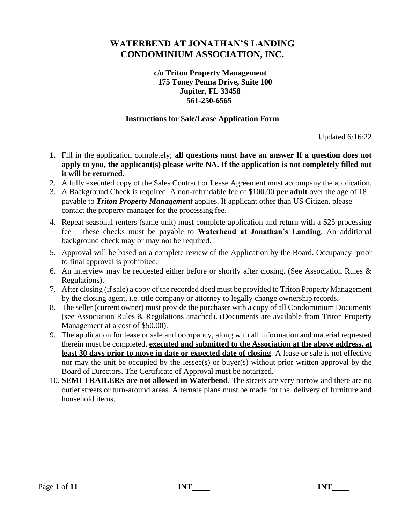### **c/o Triton Property Management 175 Toney Penna Drive, Suite 100 Jupiter, FL 33458 561-250-6565**

### **Instructions for Sale/Lease Application Form**

Updated 6/16/22

- **1.** Fill in the application completely; **all questions must have an answer If a question does not apply to you, the applicant(s) please write NA. If the application is not completely filled out it will be returned.**
- 2. A fully executed copy of the Sales Contract or Lease Agreement must accompany the application.
- 3. A Background Check is required. A non-refundable fee of \$100.00 **per adult** over the age of 18 payable to *Triton Property Management* applies. If applicant other than US Citizen, please contact the property manager for the processing fee.
- 4. Repeat seasonal renters (same unit) must complete application and return with a \$25 processing fee – these checks must be payable to **Waterbend at Jonathan's Landing**. An additional background check may or may not be required.
- 5. Approval will be based on a complete review of the Application by the Board. Occupancy prior to final approval is prohibited.
- 6. An interview may be requested either before or shortly after closing. (See Association Rules & Regulations).
- 7. After closing (if sale) a copy of the recorded deed must be provided to Triton Property Management by the closing agent, i.e. title company or attorney to legally change ownership records.
- 8. The seller (current owner) must provide the purchaser with a copy of all Condominium Documents (see Association Rules & Regulations attached). (Documents are available from Triton Property Management at a cost of \$50.00).
- 9. The application for lease or sale and occupancy, along with all information and material requested therein must be completed, **executed and submitted to the Association at the above address, at least 30 days prior to move in date or expected date of closing**. A lease or sale is not effective nor may the unit be occupied by the lessee(s) or buyer(s) without prior written approval by the Board of Directors. The Certificate of Approval must be notarized.
- 10. **SEMI TRAILERS are not allowed in Waterbend**. The streets are very narrow and there are no outlet streets or turn-around areas. Alternate plans must be made for the delivery of furniture and household items.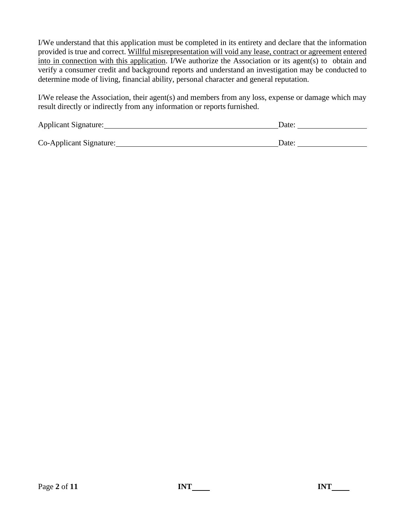I/We understand that this application must be completed in its entirety and declare that the information provided is true and correct. Willful misrepresentation will void any lease, contract or agreement entered into in connection with this application. I/We authorize the Association or its agent(s) to obtain and verify a consumer credit and background reports and understand an investigation may be conducted to determine mode of living, financial ability, personal character and general reputation.

I/We release the Association, their agent(s) and members from any loss, expense or damage which may result directly or indirectly from any information or reports furnished.

| Applicant Signature:    | Date: |
|-------------------------|-------|
|                         |       |
| Co-Applicant Signature: | Date: |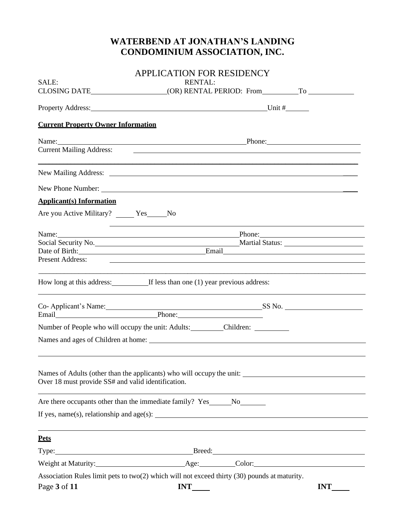|                                                                            | <b>APPLICATION FOR RESIDENCY</b>                                                                        |            |
|----------------------------------------------------------------------------|---------------------------------------------------------------------------------------------------------|------------|
| SALE:                                                                      | <b>RENTAL:</b>                                                                                          |            |
|                                                                            |                                                                                                         |            |
|                                                                            |                                                                                                         |            |
| <b>Current Property Owner Information</b>                                  |                                                                                                         |            |
|                                                                            | Name: Phone: Phone: Phone:                                                                              |            |
| <b>Current Mailing Address:</b>                                            |                                                                                                         |            |
|                                                                            |                                                                                                         |            |
|                                                                            | New Phone Number:                                                                                       |            |
| <b>Applicant(s)</b> Information                                            |                                                                                                         |            |
| Are you Active Military? ______ Yes______No                                |                                                                                                         |            |
|                                                                            | ,我们也不会有什么。""我们的人,我们也不会有什么?""我们的人,我们也不会有什么?""我们的人,我们也不会有什么?""我们的人,我们也不会有什么?""我们的人<br>Name: Phone: Phone: |            |
|                                                                            | Social Security No. Martial Status: Martial Status:                                                     |            |
|                                                                            | Date of Birth: Email Email Email                                                                        |            |
|                                                                            |                                                                                                         |            |
|                                                                            | How long at this address: If less than one (1) year previous address:                                   |            |
| the control of the control of the control of the control of the control of |                                                                                                         |            |
|                                                                            | Co- Applicant's Name: SS No. SS No. SS No. SS No. SS No. SS No. SEMAIL                                  |            |
|                                                                            | Number of People who will occupy the unit: Adults: Children: Children:                                  |            |
|                                                                            |                                                                                                         |            |
|                                                                            |                                                                                                         |            |
| Over 18 must provide SS# and valid identification.                         | Names of Adults (other than the applicants) who will occupy the unit:                                   |            |
|                                                                            | Are there occupants other than the immediate family? Yes______No_________________                       |            |
|                                                                            | If yes, name(s), relationship and age(s): $\qquad \qquad$                                               |            |
| <b>Pets</b>                                                                |                                                                                                         |            |
|                                                                            | Type: Breed: Breed: Breed: Breed: Breed: Breed: Breed: Breed: Breed: 2014                               |            |
|                                                                            |                                                                                                         |            |
|                                                                            | Association Rules limit pets to two(2) which will not exceed thirty (30) pounds at maturity.            |            |
| Page 3 of 11                                                               | <b>INT</b>                                                                                              | <b>INT</b> |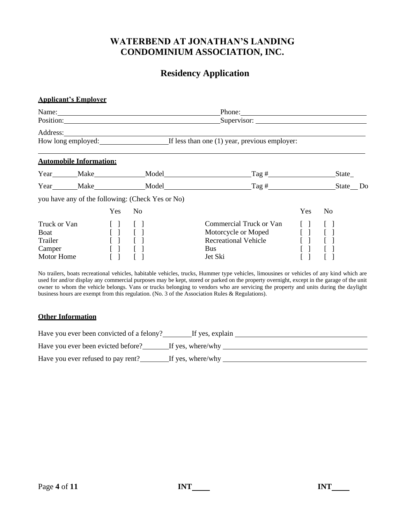## **Residency Application**

#### **Applicant's Employer**

|                                                         |                                                                                                                                         | Name: $\frac{1}{\sqrt{1-\frac{1}{2}}}\left\{ \frac{1}{2}, \frac{1}{2}, \frac{1}{2}, \frac{1}{2}, \frac{1}{2}\right\}$ | Phone:                                                                                                         |                                       |                |
|---------------------------------------------------------|-----------------------------------------------------------------------------------------------------------------------------------------|-----------------------------------------------------------------------------------------------------------------------|----------------------------------------------------------------------------------------------------------------|---------------------------------------|----------------|
|                                                         |                                                                                                                                         | Address: 2008 and 2008 and 2008 and 2008 and 2008 and 2008 and 2008 and 2008 and 2008 and 2008 and 2008 and 20        | How long employed: If less than one (1) year, previous employer:                                               |                                       |                |
|                                                         |                                                                                                                                         |                                                                                                                       |                                                                                                                |                                       |                |
| <b>Automobile Information:</b>                          |                                                                                                                                         |                                                                                                                       |                                                                                                                |                                       | State          |
|                                                         |                                                                                                                                         | Year Make Model                                                                                                       | $\text{Tag}\; \#$                                                                                              |                                       | State Do       |
|                                                         |                                                                                                                                         | you have any of the following: (Check Yes or No)                                                                      |                                                                                                                |                                       |                |
|                                                         | <b>Yes</b>                                                                                                                              | N <sub>0</sub>                                                                                                        |                                                                                                                | <b>Yes</b>                            | N <sub>o</sub> |
| Truck or Van<br>Boat<br>Trailer<br>Camper<br>Motor Home | $\begin{bmatrix} 1 & 1 \\ 1 & 1 \end{bmatrix}$<br>$\begin{bmatrix} 1 & 1 \end{bmatrix}$<br>[1]<br>$\begin{bmatrix} 1 & 1 \end{bmatrix}$ |                                                                                                                       | Commercial Truck or Van<br>Motorcycle or Moped [ ] [ ]<br><b>Recreational Vehicle</b><br><b>Bus</b><br>Jet Ski | $\begin{bmatrix} 1 & 1 \end{bmatrix}$ |                |

No trailers, boats recreational vehicles, habitable vehicles, trucks, Hummer type vehicles, limousines or vehicles of any kind which are used for and/or display any commercial purposes may be kept, stored or parked on the property overnight, except in the garage of the unit owner to whom the vehicle belongs. Vans or trucks belonging to vendors who are servicing the property and units during the daylight business hours are exempt from this regulation. (No. 3 of the Association Rules & Regulations).

### **Other Information**

| Have you ever been convicted of a felony? | If yes, explain   |
|-------------------------------------------|-------------------|
| Have you ever been evicted before?        | If yes, where/why |
| Have you ever refused to pay rent?        | If yes, where/why |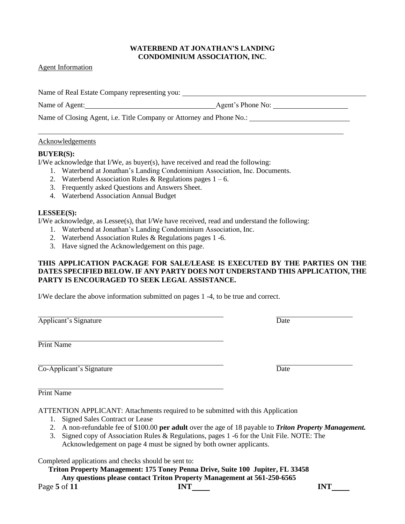#### Agent Information

Name of Real Estate Company representing you:

Name of Agent: Agent's Phone No:

Name of Closing Agent, i.e. Title Company or Attorney and Phone No.: \_\_\_\_\_\_\_\_\_\_\_

### Acknowledgements

### **BUYER(S):**

I/We acknowledge that I/We, as buyer(s), have received and read the following:

- 1. Waterbend at Jonathan's Landing Condominium Association, Inc. Documents.
- 2. Waterbend Association Rules & Regulations pages  $1 6$ .
- 3. Frequently asked Questions and Answers Sheet.
- 4. Waterbend Association Annual Budget

### **LESSEE(S):**

I/We acknowledge, as Lessee(s), that I/We have received, read and understand the following:

- 1. Waterbend at Jonathan's Landing Condominium Association, Inc.
- 2. Waterbend Association Rules & Regulations pages 1 -6.
- 3. Have signed the Acknowledgement on this page.

### **THIS APPLICATION PACKAGE FOR SALE/LEASE IS EXECUTED BY THE PARTIES ON THE DATES SPECIFIED BELOW. IF ANY PARTY DOES NOT UNDERSTAND THIS APPLICATION, THE PARTY IS ENCOURAGED TO SEEK LEGAL ASSISTANCE.**

I/We declare the above information submitted on pages 1 -4, to be true and correct.

Applicant's Signature Date

Print Name

 $\overline{\text{Co-Application}}$ 's Signature Date

Print Name

ATTENTION APPLICANT: Attachments required to be submitted with this Application

- 1. Signed Sales Contract or Lease
- 2. A non-refundable fee of \$100.00 **per adult** over the age of 18 payable to *Triton Property Management.*
- 3. Signed copy of Association Rules & Regulations, pages 1 -6 for the Unit File. NOTE: The Acknowledgement on page 4 must be signed by both owner applicants.

Completed applications and checks should be sent to:

**Triton Property Management: 175 Toney Penna Drive, Suite 100 Jupiter, FL 33458 Any questions please contact Triton Property Management at 561-250-6565**

Page **5** of **11 INT INT**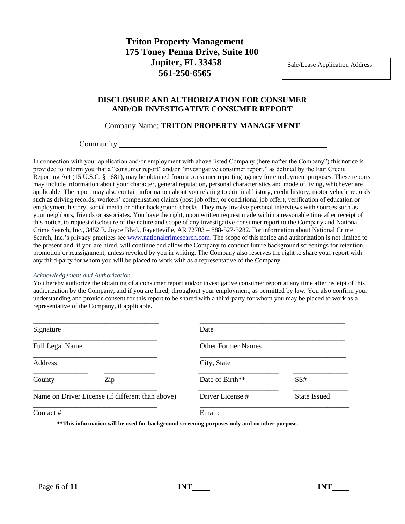## **Triton Property Management 175 Toney Penna Drive, Suite 100 Jupiter, FL 33458 561-250-6565**

Sale/Lease Application Address:

### **DISCLOSURE AND AUTHORIZATION FOR CONSUMER AND/OR INVESTIGATIVE CONSUMER REPORT**

### Company Name: **TRITON PROPERTY MANAGEMENT**

### **Community** Community

In connection with your application and/or employment with above listed Company (hereinafter the Company") this notice is provided to inform you that a "consumer report" and/or "investigative consumer report," as defined by the Fair Credit Reporting Act (15 U.S.C. § 1681), may be obtained from a consumer reporting agency for employment purposes. These reports may include information about your character, general reputation, personal characteristics and mode of living, whichever are applicable. The report may also contain information about you relating to criminal history, credit history, motor vehicle records such as driving records, workers' compensation claims (post job offer, or conditional job offer), verification of education or employment history, social media or other background checks. They may involve personal interviews with sources such as your neighbors, friends or associates. You have the right, upon written request made within a reasonable time after receipt of this notice, to request disclosure of the nature and scope of any investigative consumer report to the Company and National Crime Search, Inc., 3452 E. Joyce Blvd., Fayetteville, AR 72703 – 888-527-3282. For information about National Crime Search, Inc.'s privacy practices see [www.nationalcrimesearch.com. T](http://www.nationalcrimesearch.com/)he scope of this notice and authorization is not limited to the present and, if you are hired, will continue and allow the Company to conduct future background screenings for retention, promotion or reassignment, unless revoked by you in writing. The Company also reserves the right to share your report with any third-party for whom you will be placed to work with as a representative of the Company.

#### *Acknowledgement and Authorization*

You hereby authorize the obtaining of a consumer report and/or investigative consumer report at any time after receipt of this authorization by the Company, and if you are hired, throughout your employment, as permitted by law. You also confirm your understanding and provide consent for this report to be shared with a third-party for whom you may be placed to work as a representative of the Company, if applicable.

| Signature                                        | Date                      |                     |
|--------------------------------------------------|---------------------------|---------------------|
| <b>Full Legal Name</b>                           | <b>Other Former Names</b> |                     |
| Address                                          | City, State               |                     |
| Zip<br>County                                    | Date of Birth**           | SS#                 |
| Name on Driver License (if different than above) | Driver License #          | <b>State Issued</b> |
| Contact #                                        | Email:                    |                     |

**\*\*This information will be used for background screening purposes only and no other purpose.**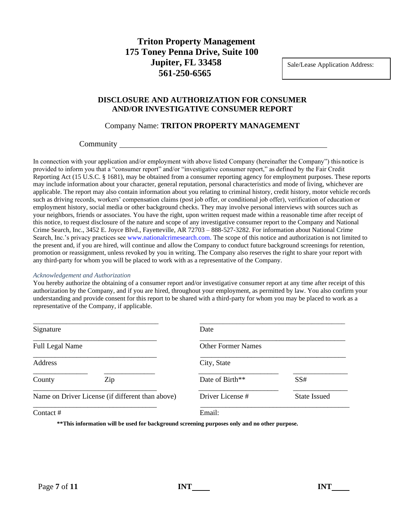## **Triton Property Management 175 Toney Penna Drive, Suite 100 Jupiter, FL 33458 561-250-6565**

Sale/Lease Application Address:

### **DISCLOSURE AND AUTHORIZATION FOR CONSUMER AND/OR INVESTIGATIVE CONSUMER REPORT**

### Company Name: **TRITON PROPERTY MANAGEMENT**

### **Community** Community

In connection with your application and/or employment with above listed Company (hereinafter the Company") this notice is provided to inform you that a "consumer report" and/or "investigative consumer report," as defined by the Fair Credit Reporting Act (15 U.S.C. § 1681), may be obtained from a consumer reporting agency for employment purposes. These reports may include information about your character, general reputation, personal characteristics and mode of living, whichever are applicable. The report may also contain information about you relating to criminal history, credit history, motor vehicle records such as driving records, workers' compensation claims (post job offer, or conditional job offer), verification of education or employment history, social media or other background checks. They may involve personal interviews with sources such as your neighbors, friends or associates. You have the right, upon written request made within a reasonable time after receipt of this notice, to request disclosure of the nature and scope of any investigative consumer report to the Company and National Crime Search, Inc., 3452 E. Joyce Blvd., Fayetteville, AR 72703 – 888-527-3282. For information about National Crime Search, Inc.'s privacy practices see [www.nationalcrimesearch.com. T](http://www.nationalcrimesearch.com/)he scope of this notice and authorization is not limited to the present and, if you are hired, will continue and allow the Company to conduct future background screenings for retention, promotion or reassignment, unless revoked by you in writing. The Company also reserves the right to share your report with any third-party for whom you will be placed to work with as a representative of the Company.

#### *Acknowledgement and Authorization*

You hereby authorize the obtaining of a consumer report and/or investigative consumer report at any time after receipt of this authorization by the Company, and if you are hired, throughout your employment, as permitted by law. You also confirm your understanding and provide consent for this report to be shared with a third-party for whom you may be placed to work as a representative of the Company, if applicable.

| Signature                                        | Date                      |                     |
|--------------------------------------------------|---------------------------|---------------------|
| <b>Full Legal Name</b>                           | <b>Other Former Names</b> |                     |
| Address                                          | City, State               |                     |
| Zip<br>County                                    | Date of Birth**           | SS#                 |
| Name on Driver License (if different than above) | Driver License #          | <b>State Issued</b> |
| Contact #                                        | Email:                    |                     |

**\*\*This information will be used for background screening purposes only and no other purpose.**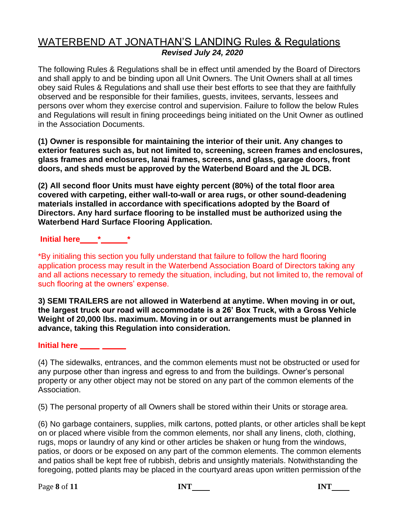# WATERBEND AT JONATHAN'S LANDING Rules & Regulations *Revised July 24, 2020*

The following Rules & Regulations shall be in effect until amended by the Board of Directors and shall apply to and be binding upon all Unit Owners. The Unit Owners shall at all times obey said Rules & Regulations and shall use their best efforts to see that they are faithfully observed and be responsible for their families, guests, invitees, servants, lessees and persons over whom they exercise control and supervision. Failure to follow the below Rules and Regulations will result in fining proceedings being initiated on the Unit Owner as outlined in the Association Documents.

**(1) Owner is responsible for maintaining the interior of their unit. Any changes to exterior features such as, but not limited to, screening, screen frames and enclosures, glass frames and enclosures, lanai frames, screens, and glass, garage doors, front doors, and sheds must be approved by the Waterbend Board and the JL DCB.**

**(2) All second floor Units must have eighty percent (80%) of the total floor area covered with carpeting, either wall-to-wall or area rugs, or other sound-deadening materials installed in accordance with specifications adopted by the Board of Directors. Any hard surface flooring to be installed must be authorized using the Waterbend Hard Surface Flooring Application.**

**Initial here \* \***

\*By initialing this section you fully understand that failure to follow the hard flooring application process may result in the Waterbend Association Board of Directors taking any and all actions necessary to remedy the situation, including, but not limited to, the removal of such flooring at the owners' expense.

**3) SEMI TRAILERS are not allowed in Waterbend at anytime. When moving in or out, the largest truck our road will accommodate is a 26' Box Truck, with a Gross Vehicle Weight of 20,000 lbs. maximum. Moving in or out arrangements must be planned in advance, taking this Regulation into consideration.**

### **Initial here**

(4) The sidewalks, entrances, and the common elements must not be obstructed or used for any purpose other than ingress and egress to and from the buildings. Owner's personal property or any other object may not be stored on any part of the common elements of the Association.

(5) The personal property of all Owners shall be stored within their Units or storage area.

(6) No garbage containers, supplies, milk cartons, potted plants, or other articles shall be kept on or placed where visible from the common elements, nor shall any linens, cloth, clothing, rugs, mops or laundry of any kind or other articles be shaken or hung from the windows, patios, or doors or be exposed on any part of the common elements. The common elements and patios shall be kept free of rubbish, debris and unsightly materials. Notwithstanding the foregoing, potted plants may be placed in the courtyard areas upon written permission of the

Page **8** of **11 INT INT**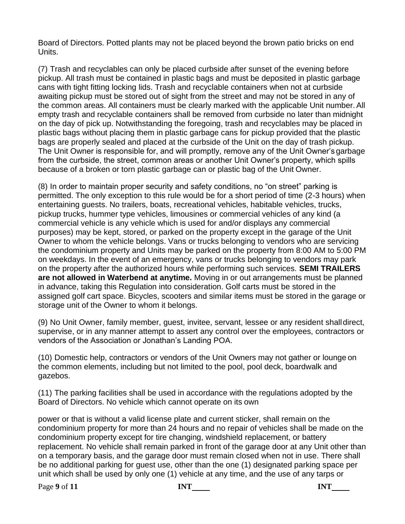Board of Directors. Potted plants may not be placed beyond the brown patio bricks on end Units.

(7) Trash and recyclables can only be placed curbside after sunset of the evening before pickup. All trash must be contained in plastic bags and must be deposited in plastic garbage cans with tight fitting locking lids. Trash and recyclable containers when not at curbside awaiting pickup must be stored out of sight from the street and may not be stored in any of the common areas. All containers must be clearly marked with the applicable Unit number.All empty trash and recyclable containers shall be removed from curbside no later than midnight on the day of pick up. Notwithstanding the foregoing, trash and recyclables may be placed in plastic bags without placing them in plastic garbage cans for pickup provided that the plastic bags are properly sealed and placed at the curbside of the Unit on the day of trash pickup. The Unit Owner is responsible for, and will promptly, remove any of the Unit Owner's garbage from the curbside, the street, common areas or another Unit Owner's property, which spills because of a broken or torn plastic garbage can or plastic bag of the Unit Owner.

(8) In order to maintain proper security and safety conditions, no "on street" parking is permitted. The only exception to this rule would be for a short period of time (2-3 hours) when entertaining guests. No trailers, boats, recreational vehicles, habitable vehicles, trucks, pickup trucks, hummer type vehicles, limousines or commercial vehicles of any kind (a commercial vehicle is any vehicle which is used for and/or displays any commercial purposes) may be kept, stored, or parked on the property except in the garage of the Unit Owner to whom the vehicle belongs. Vans or trucks belonging to vendors who are servicing the condominium property and Units may be parked on the property from 8:00 AM to 5:00 PM on weekdays. In the event of an emergency, vans or trucks belonging to vendors may park on the property after the authorized hours while performing such services. **SEMI TRAILERS are not allowed in Waterbend at anytime.** Moving in or out arrangements must be planned in advance, taking this Regulation into consideration. Golf carts must be stored in the assigned golf cart space. Bicycles, scooters and similar items must be stored in the garage or storage unit of the Owner to whom it belongs.

(9) No Unit Owner, family member, guest, invitee, servant, lessee or any resident shalldirect, supervise, or in any manner attempt to assert any control over the employees, contractors or vendors of the Association or Jonathan's Landing POA.

(10) Domestic help, contractors or vendors of the Unit Owners may not gather or lounge on the common elements, including but not limited to the pool, pool deck, boardwalk and gazebos.

(11) The parking facilities shall be used in accordance with the regulations adopted by the Board of Directors. No vehicle which cannot operate on its own

power or that is without a valid license plate and current sticker, shall remain on the condominium property for more than 24 hours and no repair of vehicles shall be made on the condominium property except for tire changing, windshield replacement, or battery replacement. No vehicle shall remain parked in front of the garage door at any Unit other than on a temporary basis, and the garage door must remain closed when not in use. There shall be no additional parking for guest use, other than the one (1) designated parking space per unit which shall be used by only one (1) vehicle at any time, and the use of any tarps or

**Page 9** of **11 INT INT INT**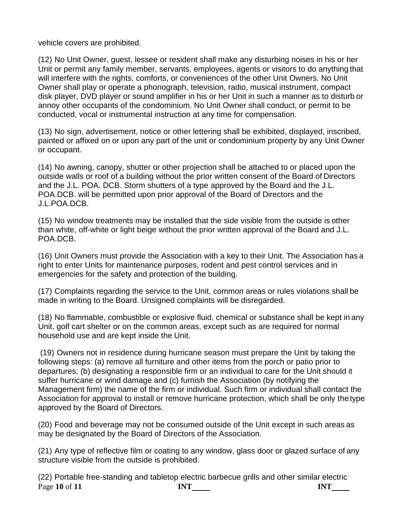vehicle covers are prohibited.

(12) No Unit Owner, guest, lessee or resident shall make any disturbing noises in his or her Unit or permit any family member, servants, employees, agents or visitors to do anything that will interfere with the rights, comforts, or conveniences of the other Unit Owners. No Unit Owner shall play or operate a phonograph, television, radio, musical instrument, compact disk player, DVD player or sound amplifier in his or her Unit in such a manner as to disturb or annoy other occupants of the condominium. No Unit Owner shall conduct, or permit to be conducted, vocal or instrumental instruction at any time for compensation.

(13) No sign, advertisement, notice or other lettering shall be exhibited, displayed, inscribed, painted or affixed on or upon any part of the unit or condominium property by any Unit Owner or occupant.

(14) No awning, canopy, shutter or other projection shall be attached to or placed upon the outside walls or roof of a building without the prior written consent of the Board of Directors and the J.L. POA. DCB. Storm shutters of a type approved by the Board and the J.L. POA.DCB. will be permitted upon prior approval of the Board of Directors and the J.L.POA.DCB.

(15) No window treatments may be installed that the side visible from the outside is other than white, off-white or light beige without the prior written approval of the Board and J.L. POA.DCB.

(16) Unit Owners must provide the Association with a key to their Unit. The Association has a right to enter Units for maintenance purposes, rodent and pest control services and in emergencies for the safety and protection of the building.

(17) Complaints regarding the service to the Unit, common areas or rules violations shall be made in writing to the Board. Unsigned complaints will be disregarded.

(18) No flammable, combustible or explosive fluid, chemical or substance shall be kept in any Unit, golf cart shelter or on the common areas, except such as are required for normal household use and are kept inside the Unit.

(19) Owners not in residence during hurricane season must prepare the Unit by taking the following steps: (a) remove all furniture and other items from the porch or patio prior to departures; (b) designating a responsible firm or an individual to care for the Unit should it suffer hurricane or wind damage and (c) furnish the Association (by notifying the Management firm) the name of the firm or individual. Such firm or individual shall contact the Association for approval to install or remove hurricane protection, which shall be only thetype approved by the Board of Directors.

(20) Food and beverage may not be consumed outside of the Unit except in such areas as may be designated by the Board of Directors of the Association.

(21) Any type of reflective film or coating to any window, glass door or glazed surface of any structure visible from the outside is prohibited.

Page 10 of 11 **INT INT** (22) Portable free-standing and tabletop electric barbecue grills and other similar electric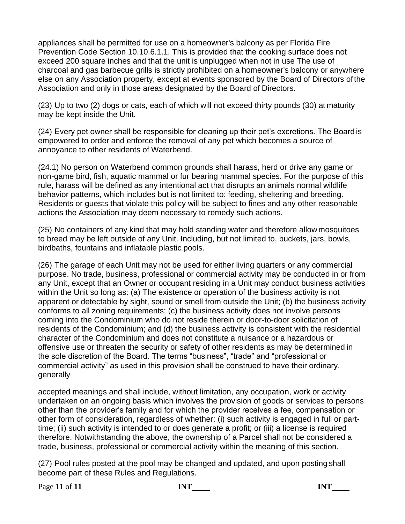appliances shall be permitted for use on a homeowner's balcony as per Florida Fire Prevention Code Section 10.10.6.1.1. This is provided that the cooking surface does not exceed 200 square inches and that the unit is unplugged when not in use The use of charcoal and gas barbecue grills is strictly prohibited on a homeowner's balcony or anywhere else on any Association property, except at events sponsored by the Board of Directors of the Association and only in those areas designated by the Board of Directors.

(23) Up to two (2) dogs or cats, each of which will not exceed thirty pounds (30) at maturity may be kept inside the Unit.

(24) Every pet owner shall be responsible for cleaning up their pet's excretions. The Board is empowered to order and enforce the removal of any pet which becomes a source of annoyance to other residents of Waterbend.

(24.1) No person on Waterbend common grounds shall harass, herd or drive any game or non-game bird, fish, aquatic mammal or fur bearing mammal species. For the purpose of this rule, harass will be defined as any intentional act that disrupts an animals normal wildlife behavior patterns, which includes but is not limited to: feeding, sheltering and breeding. Residents or guests that violate this policy will be subject to fines and any other reasonable actions the Association may deem necessary to remedy such actions.

(25) No containers of any kind that may hold standing water and therefore allow mosquitoes to breed may be left outside of any Unit. Including, but not limited to, buckets, jars, bowls, birdbaths, fountains and inflatable plastic pools.

(26) The garage of each Unit may not be used for either living quarters or any commercial purpose. No trade, business, professional or commercial activity may be conducted in or from any Unit, except that an Owner or occupant residing in a Unit may conduct business activities within the Unit so long as: (a) The existence or operation of the business activity is not apparent or detectable by sight, sound or smell from outside the Unit; (b) the business activity conforms to all zoning requirements; (c) the business activity does not involve persons coming into the Condominium who do not reside therein or door-to-door solicitation of residents of the Condominium; and (d) the business activity is consistent with the residential character of the Condominium and does not constitute a nuisance or a hazardous or offensive use or threaten the security or safety of other residents as may be determined in the sole discretion of the Board. The terms "business", "trade" and "professional or commercial activity" as used in this provision shall be construed to have their ordinary, generally

accepted meanings and shall include, without limitation, any occupation, work or activity undertaken on an ongoing basis which involves the provision of goods or services to persons other than the provider's family and for which the provider receives a fee, compensation or other form of consideration, regardless of whether: (i) such activity is engaged in full or parttime; (ii) such activity is intended to or does generate a profit; or (iii) a license is required therefore. Notwithstanding the above, the ownership of a Parcel shall not be considered a trade, business, professional or commercial activity within the meaning of this section.

(27) Pool rules posted at the pool may be changed and updated, and upon posting shall become part of these Rules and Regulations.

**Page 11** of 11 **INT INT INT INT**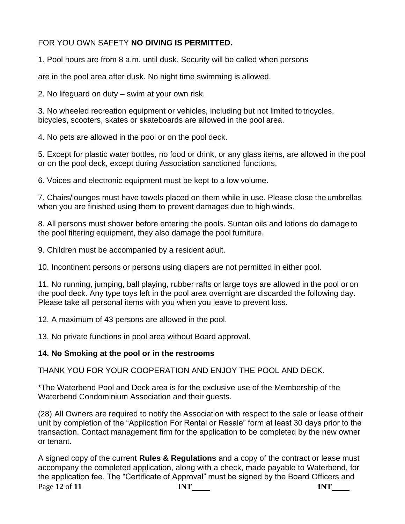## FOR YOU OWN SAFETY **NO DIVING IS PERMITTED.**

1. Pool hours are from 8 a.m. until dusk. Security will be called when persons

are in the pool area after dusk. No night time swimming is allowed.

2. No lifeguard on duty – swim at your own risk.

3. No wheeled recreation equipment or vehicles, including but not limited to tricycles, bicycles, scooters, skates or skateboards are allowed in the pool area.

4. No pets are allowed in the pool or on the pool deck.

5. Except for plastic water bottles, no food or drink, or any glass items, are allowed in the pool or on the pool deck, except during Association sanctioned functions.

6. Voices and electronic equipment must be kept to a low volume.

7. Chairs/lounges must have towels placed on them while in use. Please close the umbrellas when you are finished using them to prevent damages due to high winds.

8. All persons must shower before entering the pools. Suntan oils and lotions do damage to the pool filtering equipment, they also damage the pool furniture.

9. Children must be accompanied by a resident adult.

10. Incontinent persons or persons using diapers are not permitted in either pool.

11. No running, jumping, ball playing, rubber rafts or large toys are allowed in the pool or on the pool deck. Any type toys left in the pool area overnight are discarded the following day. Please take all personal items with you when you leave to prevent loss.

12. A maximum of 43 persons are allowed in the pool.

13. No private functions in pool area without Board approval.

## **14. No Smoking at the pool or in the restrooms**

THANK YOU FOR YOUR COOPERATION AND ENJOY THE POOL AND DECK.

\*The Waterbend Pool and Deck area is for the exclusive use of the Membership of the Waterbend Condominium Association and their guests.

(28) All Owners are required to notify the Association with respect to the sale or lease of their unit by completion of the "Application For Rental or Resale" form at least 30 days prior to the transaction. Contact management firm for the application to be completed by the new owner or tenant.

Page **12** of **11 INT INT** A signed copy of the current **Rules & Regulations** and a copy of the contract or lease must accompany the completed application, along with a check, made payable to Waterbend, for the application fee. The "Certificate of Approval" must be signed by the Board Officers and